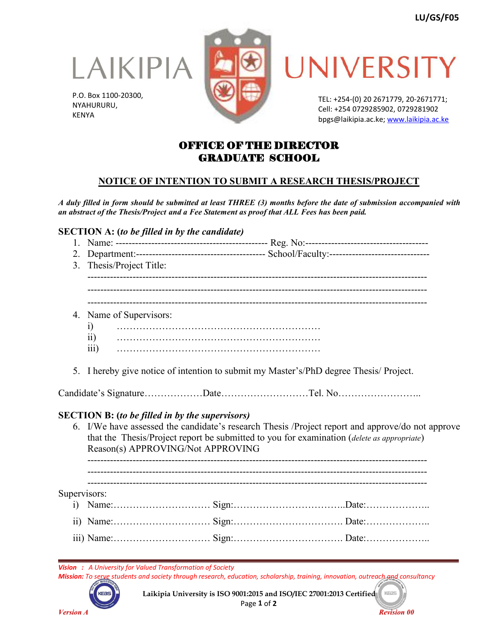LAIKIPIA

P.O. Box 1100-20300, NYAHURURU, KENYA





TEL: +254-(0) 20 2671779, 20-2671771; Cell: +254 0729285902, 0729281902 bpgs@laikipia.ac.ke; [www.laikipia.ac.ke](http://www.laikipia.ac.ke/)

# OFFICE OF THE DIRECTOR GRADUATE SCHOOL

# **NOTICE OF INTENTION TO SUBMIT A RESEARCH THESIS/PROJECT**

A duly filled in form should be submitted at least THREE (3) months before the date of submission accompanied with *an abstract of the Thesis/Project and a Fee Statement as proof that ALL Fees has been paid.*

## **SECTION A: (***to be filled in by the candidate)*

- 1. Name: ----------------------------------------------- Reg. No:-------------------------------------- 2. Department:---------------------------------------- School/Faculty:-------------------------------
- 3. Thesis/Project Title: ---------------------------------------------------------------------------------------------------------

---------------------------------------------------------------------------------------------------------

---------------------------------------------------------------------------------------------------------

- 4. Name of Supervisors:
	- i) ………………………………………………………
	- ii) ………………………………………………………
	- iii) ………………………………………………………
- 5. I hereby give notice of intention to submit my Master's/PhD degree Thesis/Project.

Candidate's Signature………………Date………………………Tel. No……………………..

## **SECTION B: (***to be filled in by the supervisors)*

6. I/We have assessed the candidate's research Thesis /Project report and approve/do not approve that the Thesis/Project report be submitted to you forexamination (*delete as appropriate*) Reason(s) APPROVING/Not APPROVING

---------------------------------------------------------------------------------------------------------

--------------------------------------------------------------------------------------------------------- --------------------------------------------------------------------------------------------------------- Supervisors: i) Name:………………………… Sign:……………………………..Date:……………….. ii) Name:………………………… Sign:……………………………. Date:……………….. iii) Name:………………………… Sign:……………………………. Date:………………..

*Vision : A University for Valued Transformation of Society*

Mission: To serve students and society through research, education, scholarship, training, innovation, outreach gnd consultancy



**Laikipia University is ISO 9001:2015 and ISO/IEC 27001:2013 Certified** Page **1** of **2**